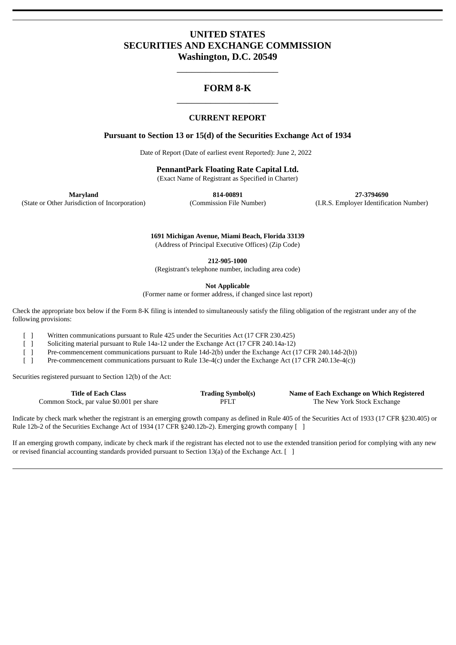# **UNITED STATES SECURITIES AND EXCHANGE COMMISSION Washington, D.C. 20549**

# **FORM 8-K** \_\_\_\_\_\_\_\_\_\_\_\_\_\_\_\_\_\_\_\_\_

\_\_\_\_\_\_\_\_\_\_\_\_\_\_\_\_\_\_\_\_\_

## **CURRENT REPORT**

## **Pursuant to Section 13 or 15(d) of the Securities Exchange Act of 1934**

Date of Report (Date of earliest event Reported): June 2, 2022

**PennantPark Floating Rate Capital Ltd.**

(Exact Name of Registrant as Specified in Charter)

**Maryland 814-00891 27-3794690** (State or Other Jurisdiction of Incorporation) (Commission File Number) (I.R.S. Employer Identification Number)

> **1691 Michigan Avenue, Miami Beach, Florida 33139** (Address of Principal Executive Offices) (Zip Code)

> > **212-905-1000**

(Registrant's telephone number, including area code)

**Not Applicable**

(Former name or former address, if changed since last report)

Check the appropriate box below if the Form 8-K filing is intended to simultaneously satisfy the filing obligation of the registrant under any of the following provisions:

[ ] Written communications pursuant to Rule 425 under the Securities Act (17 CFR 230.425)

[ ] Soliciting material pursuant to Rule 14a-12 under the Exchange Act (17 CFR 240.14a-12)

[ ] Pre-commencement communications pursuant to Rule 14d-2(b) under the Exchange Act (17 CFR 240.14d-2(b))

[ ] Pre-commencement communications pursuant to Rule 13e-4(c) under the Exchange Act (17 CFR 240.13e-4(c))

Securities registered pursuant to Section 12(b) of the Act:

| <b>Title of Each Class</b>                | <b>Trading Symbol(s)</b> | Name of Each Exchange on Which Registered |
|-------------------------------------------|--------------------------|-------------------------------------------|
| Common Stock, par value \$0.001 per share | PFLT                     | The New York Stock Exchange               |

Indicate by check mark whether the registrant is an emerging growth company as defined in Rule 405 of the Securities Act of 1933 (17 CFR §230.405) or Rule 12b-2 of the Securities Exchange Act of 1934 (17 CFR §240.12b-2). Emerging growth company [ ]

If an emerging growth company, indicate by check mark if the registrant has elected not to use the extended transition period for complying with any new or revised financial accounting standards provided pursuant to Section 13(a) of the Exchange Act.  $\lceil \ \rceil$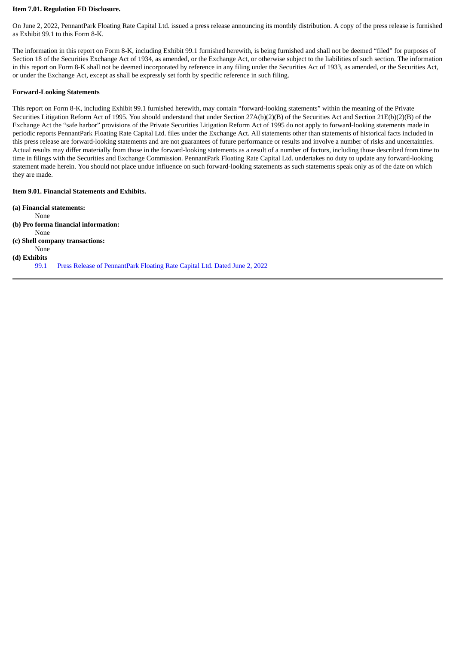#### **Item 7.01. Regulation FD Disclosure.**

On June 2, 2022, PennantPark Floating Rate Capital Ltd. issued a press release announcing its monthly distribution. A copy of the press release is furnished as Exhibit 99.1 to this Form 8-K.

The information in this report on Form 8-K, including Exhibit 99.1 furnished herewith, is being furnished and shall not be deemed "filed" for purposes of Section 18 of the Securities Exchange Act of 1934, as amended, or the Exchange Act, or otherwise subject to the liabilities of such section. The information in this report on Form 8-K shall not be deemed incorporated by reference in any filing under the Securities Act of 1933, as amended, or the Securities Act, or under the Exchange Act, except as shall be expressly set forth by specific reference in such filing.

#### **Forward-Looking Statements**

This report on Form 8-K, including Exhibit 99.1 furnished herewith, may contain "forward-looking statements" within the meaning of the Private Securities Litigation Reform Act of 1995. You should understand that under Section 27A(b)(2)(B) of the Securities Act and Section 21E(b)(2)(B) of the Exchange Act the "safe harbor" provisions of the Private Securities Litigation Reform Act of 1995 do not apply to forward-looking statements made in periodic reports PennantPark Floating Rate Capital Ltd. files under the Exchange Act. All statements other than statements of historical facts included in this press release are forward-looking statements and are not guarantees of future performance or results and involve a number of risks and uncertainties. Actual results may differ materially from those in the forward-looking statements as a result of a number of factors, including those described from time to time in filings with the Securities and Exchange Commission. PennantPark Floating Rate Capital Ltd. undertakes no duty to update any forward-looking statement made herein. You should not place undue influence on such forward-looking statements as such statements speak only as of the date on which they are made.

### **Item 9.01. Financial Statements and Exhibits.**

**(a) Financial statements:** None **(b) Pro forma financial information:** None **(c) Shell company transactions:** None **(d) Exhibits** [99.1](#page-3-0) Press Release of [PennantPark](#page-3-0) Floating Rate Capital Ltd. Dated June 2, 2022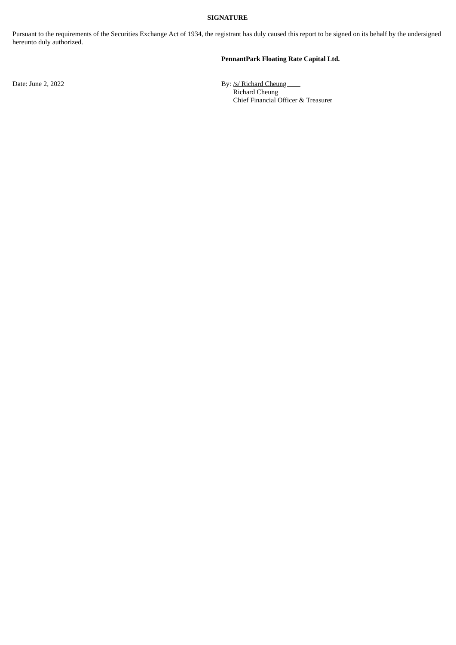### **SIGNATURE**

Pursuant to the requirements of the Securities Exchange Act of 1934, the registrant has duly caused this report to be signed on its behalf by the undersigned hereunto duly authorized.

## **PennantPark Floating Rate Capital Ltd.**

Date: June 2, 2022 **By:** /s/ Richard Cheung Richard Cheung Chief Financial Officer & Treasurer